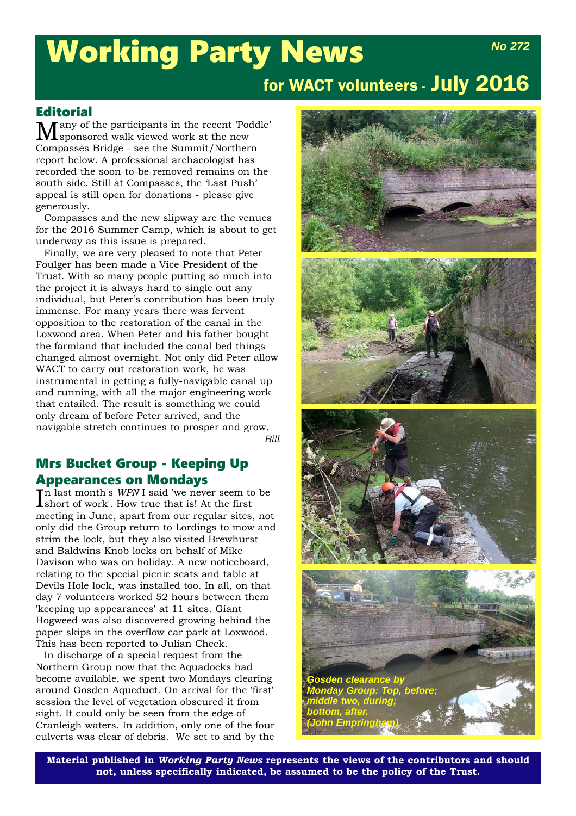# Working Party News

# for WACT volunteers - July 2016

# **Editorial**

A any of the participants in the recent 'Poddle' sponsored walk viewed work at the new Compasses Bridge - see the Summit/Northern report below. A professional archaeologist has recorded the soon-to-be-removed remains on the south side. Still at Compasses, the 'Last Push' appeal is still open for donations - please give generously.

Compasses and the new slipway are the venues for the 2016 Summer Camp, which is about to get underway as this issue is prepared.

Finally, we are very pleased to note that Peter Foulger has been made a Vice-President of the Trust. With so many people putting so much into the project it is always hard to single out any individual, but Peter's contribution has been truly immense. For many years there was fervent opposition to the restoration of the canal in the Loxwood area. When Peter and his father bought the farmland that included the canal bed things changed almost overnight. Not only did Peter allow WACT to carry out restoration work, he was instrumental in getting a fully-navigable canal up and running, with all the major engineering work that entailed. The result is something we could only dream of before Peter arrived, and the navigable stretch continues to prosper and grow. *Bill*

### Mrs Bucket Group - Keeping Up Appearances on Mondays

 $\prod_{n=1}^{\infty}$  last month's *WPN* I said 'we never seem to be short of work'. How true that is! At the first short of work'. How true that is! At the first meeting in June, apart from our regular sites, not only did the Group return to Lordings to mow and strim the lock, but they also visited Brewhurst and Baldwins Knob locks on behalf of Mike Davison who was on holiday. A new noticeboard, relating to the special picnic seats and table at Devils Hole lock, was installed too. In all, on that day 7 volunteers worked 52 hours between them 'keeping up appearances' at 11 sites. Giant Hogweed was also discovered growing behind the paper skips in the overflow car park at Loxwood. This has been reported to Julian Cheek.

In discharge of a special request from the Northern Group now that the Aquadocks had become available, we spent two Mondays clearing around Gosden Aqueduct. On arrival for the 'first' session the level of vegetation obscured it from sight. It could only be seen from the edge of Cranleigh waters. In addition, only one of the four culverts was clear of debris. We set to and by the



**Material published in** *Working Party News* **represents the views of the contributors and should not, unless specifically indicated, be assumed to be the policy of the Trust.**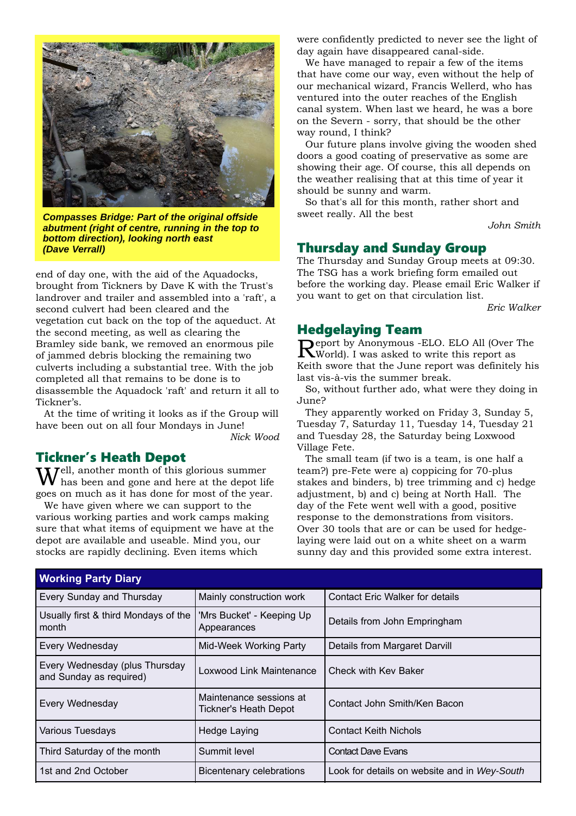

*Compasses Bridge: Part of the original offside abutment (right of centre, running in the top to bottom direction), looking north east (Dave Verrall)*

end of day one, with the aid of the Aquadocks, brought from Tickners by Dave K with the Trust's landrover and trailer and assembled into a 'raft', a second culvert had been cleared and the vegetation cut back on the top of the aqueduct. At the second meeting, as well as clearing the Bramley side bank, we removed an enormous pile of jammed debris blocking the remaining two culverts including a substantial tree. With the job completed all that remains to be done is to disassemble the Aquadock 'raft' and return it all to Tickner's.

At the time of writing it looks as if the Group will have been out on all four Mondays in June!

*Nick Wood*

#### Tickner's Heath Depot

Well, another month of this glorious summer has been and gone and here at the depot life goes on much as it has done for most of the year.

We have given where we can support to the various working parties and work camps making sure that what items of equipment we have at the depot are available and useable. Mind you, our stocks are rapidly declining. Even items which

were confidently predicted to never see the light of day again have disappeared canal-side.

We have managed to repair a few of the items that have come our way, even without the help of our mechanical wizard, Francis Wellerd, who has ventured into the outer reaches of the English canal system. When last we heard, he was a bore on the Severn - sorry, that should be the other way round, I think?

Our future plans involve giving the wooden shed doors a good coating of preservative as some are showing their age. Of course, this all depends on the weather realising that at this time of year it should be sunny and warm.

So that's all for this month, rather short and sweet really. All the best

*John Smith*

#### Thursday and Sunday Group

The Thursday and Sunday Group meets at 09:30. The TSG has a work briefing form emailed out before the working day. Please email Eric Walker if you want to get on that circulation list.

*Eric Walker*

#### Hedgelaying Team

Report by Anonymous -ELO. ELO All (Over The World). I was asked to write this report as Keith swore that the June report was definitely his last vis-à-vis the summer break.

So, without further ado, what were they doing in June?

They apparently worked on Friday 3, Sunday 5, Tuesday 7, Saturday 11, Tuesday 14, Tuesday 21 and Tuesday 28, the Saturday being Loxwood Village Fete.

The small team (if two is a team, is one half a team?) pre-Fete were a) coppicing for 70-plus stakes and binders, b) tree trimming and c) hedge adjustment, b) and c) being at North Hall. The day of the Fete went well with a good, positive response to the demonstrations from visitors. Over 30 tools that are or can be used for hedgelaying were laid out on a white sheet on a warm sunny day and this provided some extra interest.

| <b>Working Party Diary</b>                                |                                                         |                                              |  |  |
|-----------------------------------------------------------|---------------------------------------------------------|----------------------------------------------|--|--|
| <b>Every Sunday and Thursday</b>                          | Mainly construction work                                | <b>Contact Eric Walker for details</b>       |  |  |
| Usually first & third Mondays of the<br>month             | 'Mrs Bucket' - Keeping Up<br>Appearances                | Details from John Empringham                 |  |  |
| <b>Every Wednesday</b>                                    | Mid-Week Working Party<br>Details from Margaret Darvill |                                              |  |  |
| Every Wednesday (plus Thursday<br>and Sunday as required) | Loxwood Link Maintenance                                | Check with Key Baker                         |  |  |
| Every Wednesday                                           | Maintenance sessions at<br>Tickner's Heath Depot        | Contact John Smith/Ken Bacon                 |  |  |
| <b>Various Tuesdays</b>                                   | <b>Hedge Laying</b>                                     | <b>Contact Keith Nichols</b>                 |  |  |
| Third Saturday of the month                               | Summit level                                            | <b>Contact Dave Evans</b>                    |  |  |
| 1st and 2nd October                                       | Bicentenary celebrations                                | Look for details on website and in Wey-South |  |  |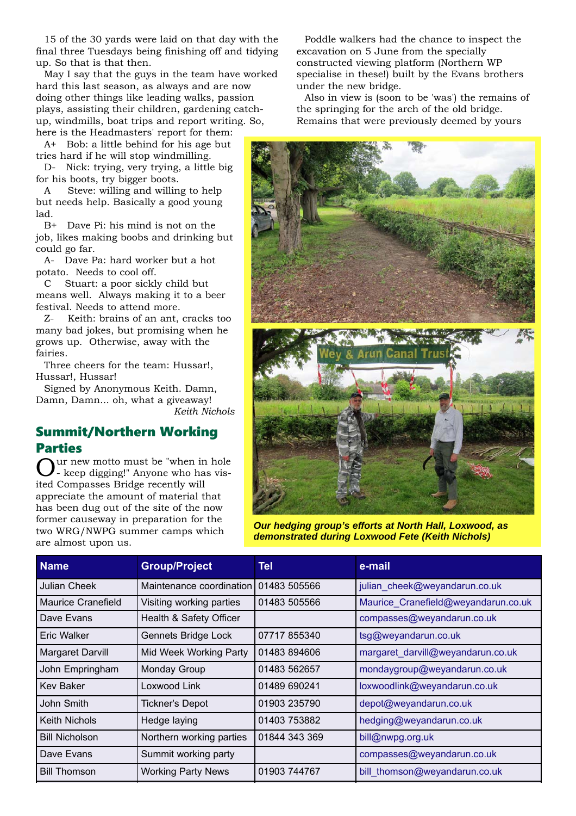15 of the 30 yards were laid on that day with the final three Tuesdays being finishing off and tidying up. So that is that then.

May I say that the guys in the team have worked hard this last season, as always and are now doing other things like leading walks, passion plays, assisting their children, gardening catchup, windmills, boat trips and report writing. So, here is the Headmasters' report for them:

A+ Bob: a little behind for his age but tries hard if he will stop windmilling.

D- Nick: trying, very trying, a little big for his boots, try bigger boots.

A Steve: willing and willing to help but needs help. Basically a good young lad.

B+ Dave Pi: his mind is not on the job, likes making boobs and drinking but could go far.

A- Dave Pa: hard worker but a hot potato. Needs to cool off.

C Stuart: a poor sickly child but means well. Always making it to a beer festival. Needs to attend more.

Z- Keith: brains of an ant, cracks too many bad jokes, but promising when he grows up. Otherwise, away with the fairies.

Three cheers for the team: Hussar!, Hussar!, Hussar!

Signed by Anonymous Keith. Damn, Damn, Damn... oh, what a giveaway! *Keith Nichols*

Summit/Northern Working Parties

ur new motto must be "when in hole - keep digging!" Anyone who has visited Compasses Bridge recently will appreciate the amount of material that has been dug out of the site of the now former causeway in preparation for the two WRG/NWPG summer camps which are almost upon us.

Poddle walkers had the chance to inspect the excavation on 5 June from the specially constructed viewing platform (Northern WP specialise in these!) built by the Evans brothers under the new bridge.

Also in view is (soon to be 'was') the remains of the springing for the arch of the old bridge. Remains that were previously deemed by yours



*Our hedging group's efforts at North Hall, Loxwood, as demonstrated during Loxwood Fete (Keith Nichols)*

| <b>Name</b>           | <b>Group/Project</b>      | Tell          | e-mail                              |
|-----------------------|---------------------------|---------------|-------------------------------------|
| <b>Julian Cheek</b>   | Maintenance coordination  | 01483 505566  | julian cheek@weyandarun.co.uk       |
| Maurice Cranefield    | Visiting working parties  | 01483 505566  | Maurice Cranefield@weyandarun.co.uk |
| Dave Evans            | Health & Safety Officer   |               | compasses@weyandarun.co.uk          |
| Eric Walker           | Gennets Bridge Lock       | 07717 855340  | tsg@weyandarun.co.uk                |
| Margaret Darvill      | Mid Week Working Party    | 01483 894606  | margaret_darvill@weyandarun.co.uk   |
| John Empringham       | <b>Monday Group</b>       | 01483 562657  | mondaygroup@weyandarun.co.uk        |
| <b>Kev Baker</b>      | Loxwood Link              | 01489 690241  | loxwoodlink@weyandarun.co.uk        |
| John Smith            | <b>Tickner's Depot</b>    | 01903 235790  | depot@weyandarun.co.uk              |
| <b>Keith Nichols</b>  | Hedge laying              | 01403 753882  | hedging@weyandarun.co.uk            |
| <b>Bill Nicholson</b> | Northern working parties  | 01844 343 369 | bill@nwpg.org.uk                    |
| Dave Evans            | Summit working party      |               | compasses@weyandarun.co.uk          |
| <b>Bill Thomson</b>   | <b>Working Party News</b> | 01903 744767  | bill thomson@weyandarun.co.uk       |